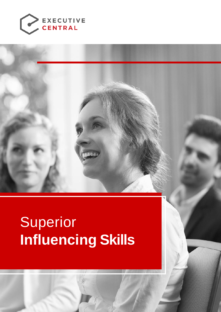

# Superior **Influencing Skills**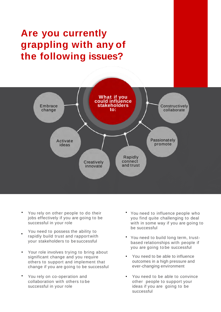## **Are you currently grappling with any of the following issues?**



- You rely on other people to do their jobs effectively if you are going to be successful in your role •
- You need to possess the ability to rapidly build trust and rapport with your stakeholders to be successful •
- Your role involves trying to bring about significant change and you require others to support and implement that change if you are going to be successful •
- You rely on co-operation and collaboration with others to be successful in your role •
- You need to influence people who you find quite challenging to deal with in some way if you are going to be successful
- You need to build long term, trustbased relationships with people if you are going to be successful
- You need to be able to influence outcomes in a high pressure and ever-changing environment
- You need to be able to convince other people to support your ideas if you are going to be successful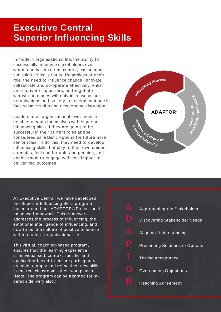### **Executive Central Superior Influencing Skills**

In modern organisational life, the ability to successfully influence stakeholders over whom one has no direct control, has become a mission critical priority. Regardless of one's role, the need to influence change, innovate, collaborate and co-operate effectively, enlist and motivate supporters, and negotiate win-win outcomes will only increase as our organisations and society in general continue to face seismic shifts and accelerating disruption.

Leaders at all organisational levels need to be able to equip themselves with superior influencing skills if they are going to be successful in their current roles and be considered as realistic options for futuremore senior roles. To do this, they need to develop influencing skills that play to their own unique strengths, feel comfortable and genuine, and enable them to engage with real impact to deliver real outcomes.



At Executive Central, we have developed the Superior Influencing Skills program based around our ADAPTOR® Professional Influence framework. This framework addresses the process of influencing, the emotional intelligence of influencing, and how to build a culture of positive influence within modern organisational life.

This virtual, coaching-based program, ensures that the learning experience is individualised, context specific, and application-based to ensure participants are able to apply and refine their new skills in the real classroom – their workplaces. (Note: The program can be adapted for inperson delivery also.)

| Δ | Approaching the Stakeholder            |
|---|----------------------------------------|
|   | <b>Discovering Stakeholder Needs</b>   |
|   | <b>Aligning Understanding</b>          |
| D | <b>Presenting Solutions or Options</b> |
|   | <b>Testing Acceptance</b>              |
|   | <b>Overcoming Objections</b>           |
|   | Reaching Agreement                     |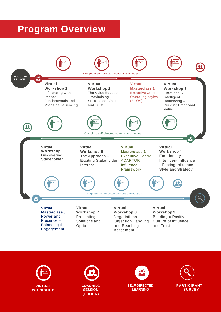### **Program Overview**







**COACHING SESSION (1 HOUR)**



**SELF-DIRECTED LEARNING**

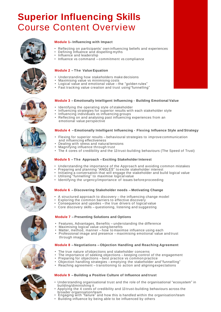### **Superior Influencing Skills** Course Content Overview



#### **Module 1 – Influencing with Impact**

- Reflecting on participants' own influencing beliefs and experiences<br>• Defining Influence and dispelling myths
- Defining Influence and dispelling myths
- Influence and leadership
- Influence vs command commitment vs compliance

#### **Module 2 – The Value Equation**

- Understanding how stakeholders make decisions
- Maximising value vs minimising costs
- Logical value and emotional value the "golden rules"
- Fast tracking value creation and trust using"funnelling"

#### **Module 3 – Emotionally Intelligent Influencing - Building Emotional Value**

- Identifying the operating style of stakeholder<br>• Influencing strategies for superior results with
- Influencing strategies for superior results with each stakeholder style
- Influencing individuals vs influencing groups
- Reflecting on and analysing past influencing experiences from an emotional value perspective

#### **Module 4 – Emotionally Intelligent Influencing - Flexing Influence Style and Strategy**

- Flexing for superior results behavioural strategies to improve communication and influencing effectiveness
- Dealing with stress and natural tensions
- Magnifying influence through trust
- The 4 cores of credibility and the 13 trust-building behaviours (The Speed of Trust)

#### **Module 5 – The Approach – Exciting Stakeholder Interest**

- Understanding the importance of the Approach and avoiding common mistakes<br>• Preparing and planning "ANGLES" to excite stakeholder interest
- Preparing and planning "ANGLES" to excite stakeholder interest
- Initiating a conversation that will engage the stakeholder and build logical value
- Utilising "funnelling" to maximise logical value
- Identifying the urgency/importance of issues before proceeding

#### **Module 6 – Discovering Stakeholder needs – Motivating Change**

- A structured approach to discovery the influencing change model
- Exploring the common barriers to effective discovery<br>• Consequence and unsides the true drivers of logical
- Consequence and upsides the true drivers of logical value
- Core discovery skills questioning, listening and suggesting

#### **Module 7 – Presenting Solutions and Options**

- Features, Advantages, Benefits understanding the difference
- Maximising logical value using benefits<br>• Matter method manner how to maxin
- Matter, method, manner how to maximse influence using each<br>• Professional image and presence maximising emotional value
- Professional image and presence maximising emotional value and trust through image

#### **Module 8 – Negotiations – Objection Handling and Reaching Agreement**

- The true nature of objections and stakeholder concerns
- The importance of seeking objections keeping control of the engagement<br>• Preparing for objections best practice vs common practice
- Preparing for objections best practice vs common practice

**Module 9 – Building a Positive Culture of Influence and trust**

- Objection handling strategies emptying the stakeholder and"funnelling"
- Reaching agreement transitioning to action and aligning expectations

- Understanding organisational trust and the role of the organisational "ecosystem" in building/diminishing it
- Applying the 4 cores of credibility and 13 trust-building behaviours across the broader organisation/team
- Engaging with "failure" and how this is handled within the organisation/team<br>• Building influence by being able to be influenced by others
- Building influence by being able to be influenced by others









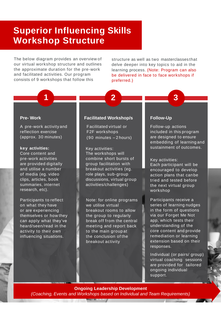### **Superior Influencing Skills Workshop Structure**

The below diagram provides an overview of our virtual workshop structure and outlines the approximate duration for the pre-work and facilitated activities. Our program consists of 9 workshops that follow this

structure as well as two masterclasses that delve deeper into key topics to aid in the learning process. (Note: Program can also be delivered in face to face workshops if preferred.)

**2 3**

#### **Pre- Work**

A pre-work activity and reflection exercise (approx. 30 minutes)

**1**

#### **key activities:**  Core content and

pre-work activities are provided digitally and utilise a number of media (eg. video clips, articles, book summaries, internet research, etc).

Participants to reflect on what they have or are experiencing themselves or how they can apply what they've heard/seen/read in the activity to their own influencing situations.

#### **Facilitated Workshop/s**

Facilitated virtual or F2F workshops (90 minutes – 2 hours)

Key activities: The workshops will combine short bursts of group facilitation with breakout activities (eg. role plays, sub-group discussions, virtual group activities/challenges)

Note: for online programs we utilise virtual breakout rooms to allow the group to regularly break off from the central meeting and report back to the main group at the conclusion of the breakout activity

#### **Follow-Up**

Follow-up actions included in this program are designed to ensure embedding of learning and sustainment of outcomes.

Key activities:

Each participant will be encouraged to develop action plans that canbe tried and tested before the next virtual group workshop

Participants receive a series of learning nudges in the form of questions via our Forget Me Not app, which tests their understanding of the core content and provide remediation or learning extension based on their responses.

Individual (or pairs/ group) virtual coaching sessions are provided for tailored ongoing individual support.

**Ongoing Leadership Development**  *(Coaching, Events and Workshops based on Individual and Team Requirements)*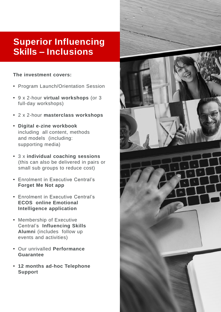### **Superior Influencing Skills – Inclusions**

### **The investment covers:**

- Program Launch/Orientation Session
- 9 x 2-hour **virtual workshops** (or 3 full-day workshops)
- 2 x 2-hour **masterclass workshops**
- **Digital e-zine workbook**  including all content, methods and models (including: supporting media)
- 3 x **individual coaching sessions** (this can also be delivered in pairs or small sub groups to reduce cost)
- Enrolment in Executive Central's **Forget Me Not app**
- Enrolment in Executive Central's **ECOS online Emotional Intelligence application**
- Membership of Executive Central's **Influencing Skills Alumni** (includes follow up events and activities)
- Our unrivalled **Performance Guarantee**
- **12 months ad-hoc Telephone Support**